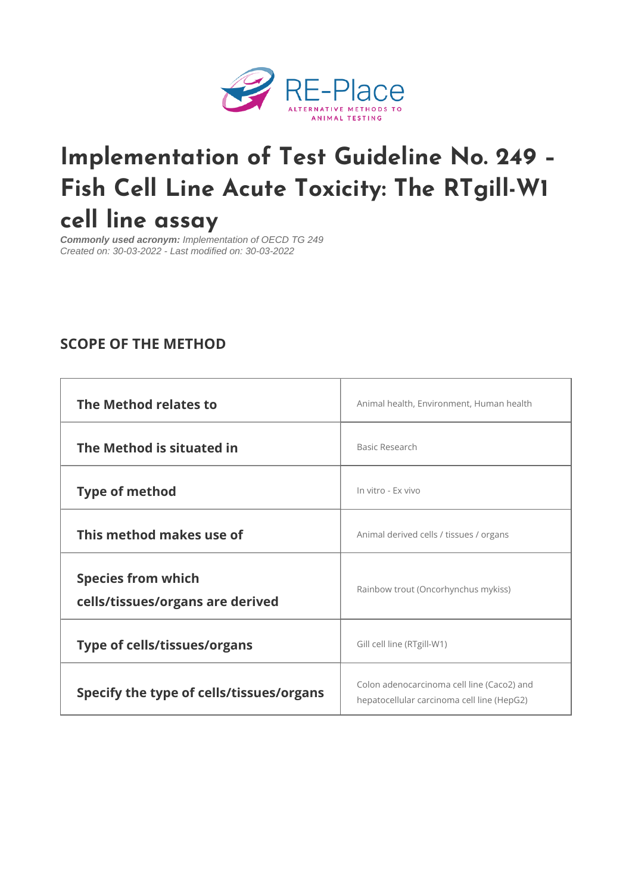# [Implementation of Test Guide](https://www.re-place.be/method/implementation-test-guideline-no-249-fish-cell-line-acute-toxicity-rtgill-w1-cell-line-assay)line Fish Cell Line Acute Toxicity: The cell line assay

Commonly used acronym: Implementation of OECD TG 249 Created on: 30-03-2022 - Last modified on: 30-03-2022

## SCOPE OF THE METHOD

| The Method relates to                                  | Animal health, Environment, Humah health                                                                                                                                                           |
|--------------------------------------------------------|----------------------------------------------------------------------------------------------------------------------------------------------------------------------------------------------------|
| The Method is situated in                              | Basic Research                                                                                                                                                                                     |
| Type of method                                         | In vitro - Ex vivo                                                                                                                                                                                 |
| This method makes use of                               | Animal derived cells / tissues / organs                                                                                                                                                            |
| Species from which<br>cells/tissues/organs are derived | Rainbow trout (Oncorhynchus mykiss)                                                                                                                                                                |
| Type of cells/tissues/organs                           | Gill cell line (RTgill-W1)                                                                                                                                                                         |
|                                                        | Specify the type of cells/tiss $u \nvert_{h \neq p}^{Colon adenocarcinoma cell line (Caco2) and}$<br>Specify the type of cells/tiss $u \nvert_{h \neq p}^{Colon adenocarcinoma cell line}$ (HepG2) |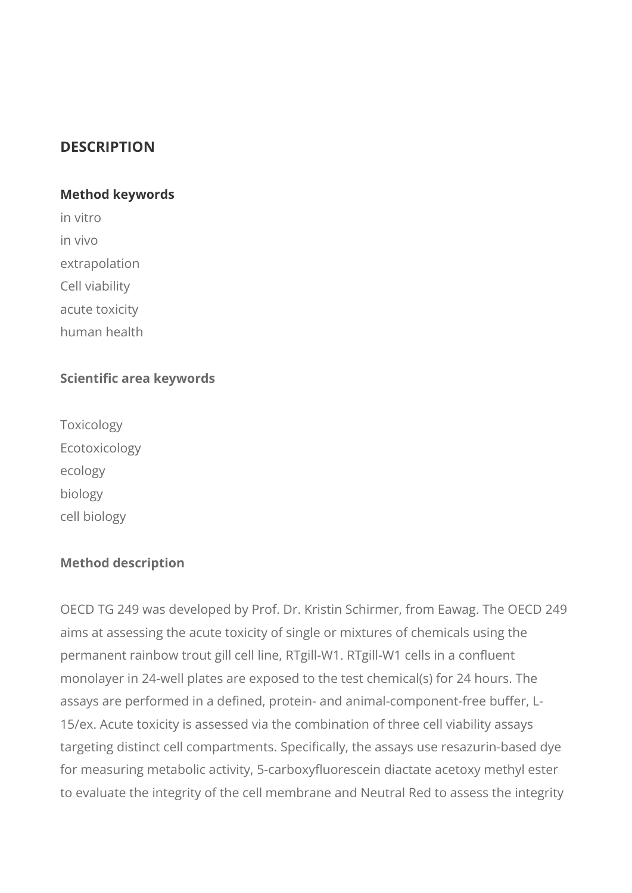## **DESCRIPTION**

#### **Method keywords**

in vitro in vivo extrapolation

Cell viability

acute toxicity

human health

#### **Scientific area keywords**

Toxicology Ecotoxicology ecology biology cell biology

#### **Method description**

OECD TG 249 was developed by Prof. Dr. Kristin Schirmer, from Eawag. The OECD 249 aims at assessing the acute toxicity of single or mixtures of chemicals using the permanent rainbow trout gill cell line, RTgill-W1. RTgill-W1 cells in a confluent monolayer in 24-well plates are exposed to the test chemical(s) for 24 hours. The assays are performed in a defined, protein- and animal-component-free buffer, L-15/ex. Acute toxicity is assessed via the combination of three cell viability assays targeting distinct cell compartments. Specifically, the assays use resazurin-based dye for measuring metabolic activity, 5-carboxyfluorescein diactate acetoxy methyl ester to evaluate the integrity of the cell membrane and Neutral Red to assess the integrity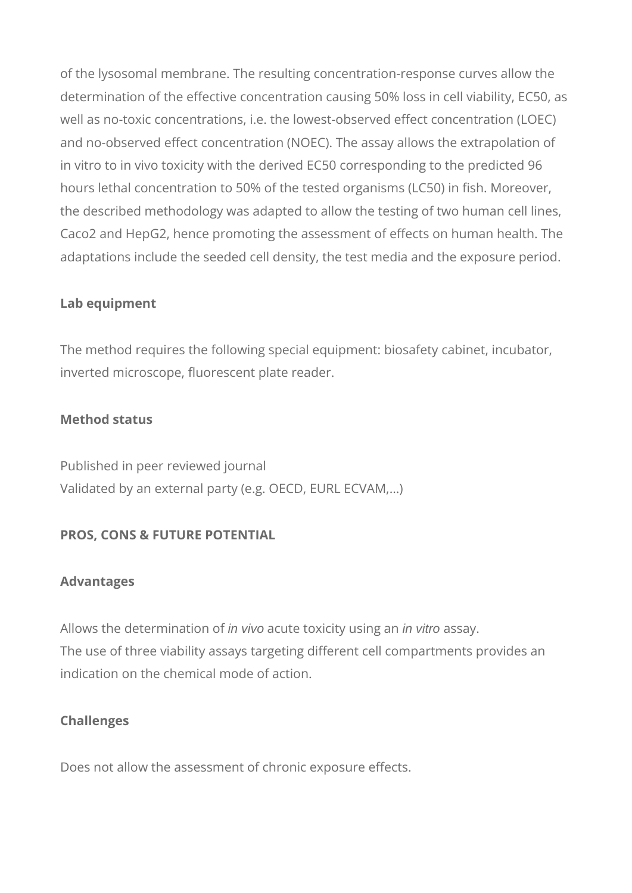of the lysosomal membrane. The resulting concentration-response curves allow the determination of the effective concentration causing 50% loss in cell viability, EC50, as well as no-toxic concentrations, i.e. the lowest-observed effect concentration (LOEC) and no-observed effect concentration (NOEC). The assay allows the extrapolation of in vitro to in vivo toxicity with the derived EC50 corresponding to the predicted 96 hours lethal concentration to 50% of the tested organisms (LC50) in fish. Moreover, the described methodology was adapted to allow the testing of two human cell lines, Caco2 and HepG2, hence promoting the assessment of effects on human health. The adaptations include the seeded cell density, the test media and the exposure period.

#### **Lab equipment**

The method requires the following special equipment: biosafety cabinet, incubator, inverted microscope, fluorescent plate reader.

### **Method status**

Published in peer reviewed journal Validated by an external party (e.g. OECD, EURL ECVAM,…)

## **PROS, CONS & FUTURE POTENTIAL**

#### **Advantages**

Allows the determination of *in vivo* acute toxicity using an *in vitro* assay. The use of three viability assays targeting different cell compartments provides an indication on the chemical mode of action.

## **Challenges**

Does not allow the assessment of chronic exposure effects.